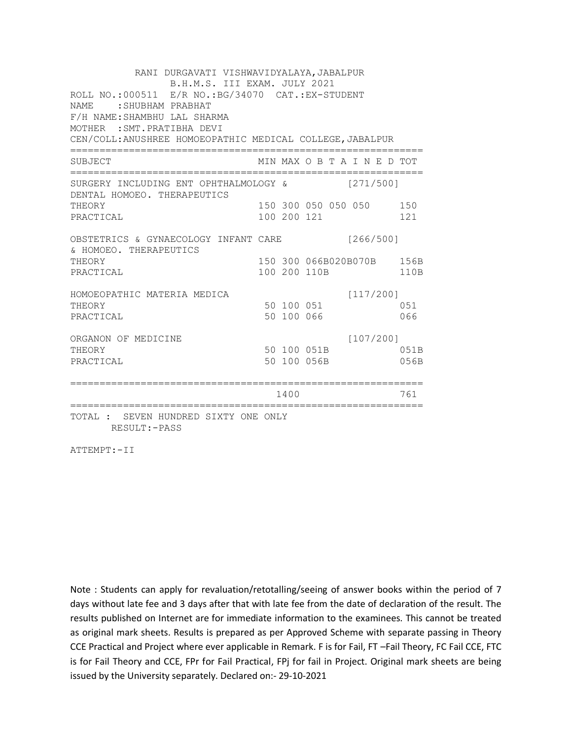RANI DURGAVATI VISHWAVIDYALAYA,JABALPUR B.H.M.S. III EXAM. JULY 2021 ROLL NO.:000511 E/R NO.:BG/34070 CAT.:EX-STUDENT NAME :SHUBHAM PRABHAT F/H NAME:SHAMBHU LAL SHARMA MOTHER :SMT.PRATIBHA DEVI CEN/COLL:ANUSHREE HOMOEOPATHIC MEDICAL COLLEGE,JABALPUR ============================================================ SUBJECT MIN MAX O B T A I N E D TOT ============================================================ SURGERY INCLUDING ENT OPHTHALMOLOGY & [271/500] DENTAL HOMOEO. THERAPEUTICS THEORY 150 300 050 050 050 150 PRACTICAL 100 200 121 121 OBSTETRICS & GYNAECOLOGY INFANT CARE [266/500] & HOMOEO. THERAPEUTICS THEORY 150 150 300 066B020B070B 156B PRACTICAL 100 200 110B 110B HOMOEOPATHIC MATERIA MEDICA [117/200] THEORY 50 100 051 051 PRACTICAL 50 100 066 066 ORGANON OF MEDICINE [107/200] THEORY 50 100 051B 051B PRACTICAL 50 100 056B 056B ============================================================ 1400 761 ============================================================ TOTAL : SEVEN HUNDRED SIXTY ONE ONLY RESULT:-PASS

ATTEMPT:-II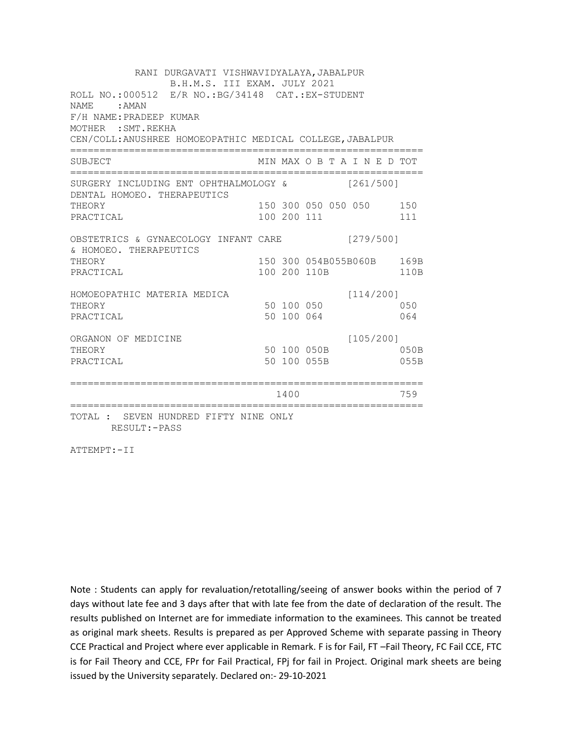RANI DURGAVATI VISHWAVIDYALAYA,JABALPUR B.H.M.S. III EXAM. JULY 2021 ROLL NO.:000512 E/R NO.:BG/34148 CAT.:EX-STUDENT NAME : AMAN F/H NAME:PRADEEP KUMAR MOTHER :SMT.REKHA CEN/COLL:ANUSHREE HOMOEOPATHIC MEDICAL COLLEGE,JABALPUR ============================================================ SUBJECT MIN MAX O B T A I N E D TOT ============================================================ SURGERY INCLUDING ENT OPHTHALMOLOGY & [261/500] DENTAL HOMOEO. THERAPEUTICS THEORY 150 300 050 050 150 PRACTICAL 100 200 111 111 OBSTETRICS & GYNAECOLOGY INFANT CARE [279/500] & HOMOEO. THERAPEUTICS THEORY 150 300 054B055B060B 169B PRACTICAL 100 200 110B 110B HOMOEOPATHIC MATERIA MEDICA [114/200] THEORY 50 100 050 PRACTICAL 50 100 064 064 ORGANON OF MEDICINE [105/200] THEORY 50 100 050B 050B PRACTICAL 50 100 055B 055B ============================================================ 1400 759 ============================================================ TOTAL : SEVEN HUNDRED FIFTY NINE ONLY RESULT:-PASS

ATTEMPT:-II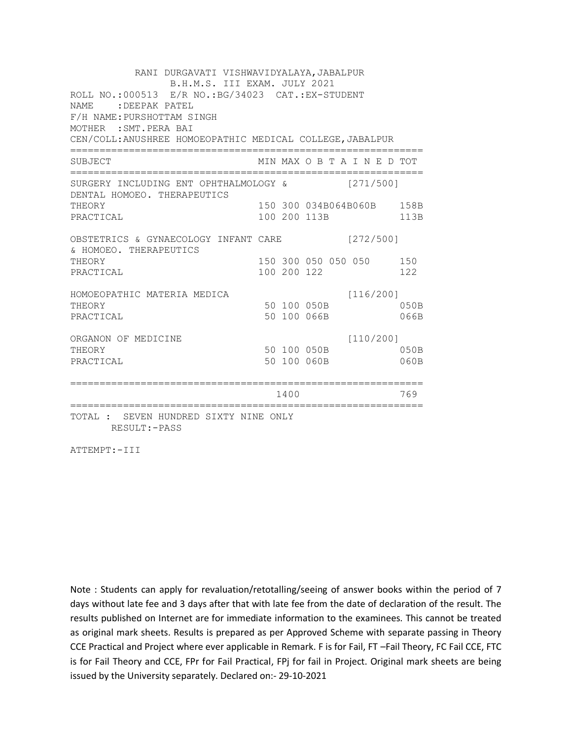RANI DURGAVATI VISHWAVIDYALAYA,JABALPUR B.H.M.S. III EXAM. JULY 2021 ROLL NO.:000513 E/R NO.:BG/34023 CAT.:EX-STUDENT NAME : DEEPAK PATEL F/H NAME:PURSHOTTAM SINGH MOTHER :SMT.PERA BAI CEN/COLL:ANUSHREE HOMOEOPATHIC MEDICAL COLLEGE,JABALPUR ============================================================ SUBJECT MIN MAX O B T A I N E D TOT ============================================================ SURGERY INCLUDING ENT OPHTHALMOLOGY & [271/500] DENTAL HOMOEO. THERAPEUTICS THEORY 150 300 034B064B060B 158B PRACTICAL 100 200 113B 113B OBSTETRICS & GYNAECOLOGY INFANT CARE [272/500] & HOMOEO. THERAPEUTICS THEORY 150 300 050 050 050 150 PRACTICAL 100 200 122 122 HOMOEOPATHIC MATERIA MEDICA [116/200] HOPOLOGY<br>THEORY 50 100 050B 050B PRACTICAL 50 100 066B 066B ORGANON OF MEDICINE [110/200] THEORY 50 100 050B 050B PRACTICAL 50 100 060B 060B ============================================================ 1400 769 ============================================================ TOTAL : SEVEN HUNDRED SIXTY NINE ONLY RESULT:-PASS

ATTEMPT:-III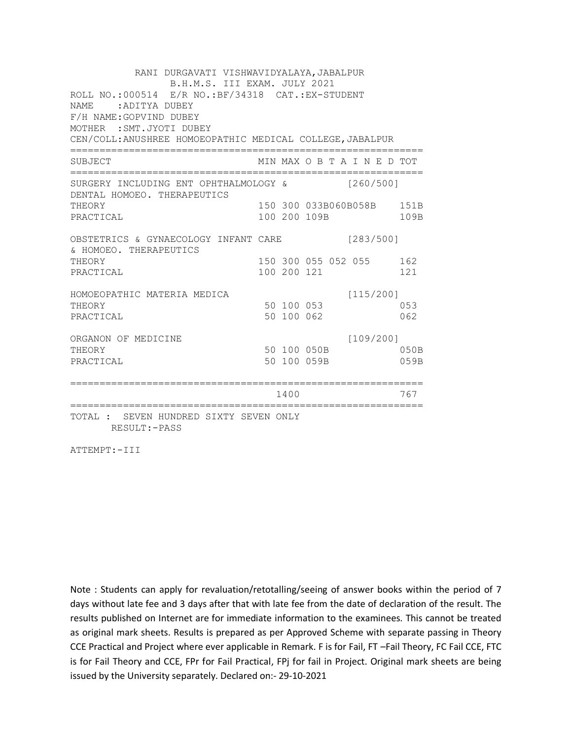RANI DURGAVATI VISHWAVIDYALAYA,JABALPUR B.H.M.S. III EXAM. JULY 2021 ROLL NO.:000514 E/R NO.:BF/34318 CAT.:EX-STUDENT NAME : ADITYA DUBEY F/H NAME:GOPVIND DUBEY MOTHER :SMT.JYOTI DUBEY CEN/COLL:ANUSHREE HOMOEOPATHIC MEDICAL COLLEGE,JABALPUR ============================================================ SUBJECT MIN MAX O B T A I N E D TOT ============================================================ SURGERY INCLUDING ENT OPHTHALMOLOGY & [260/500] DENTAL HOMOEO. THERAPEUTICS THEORY 150 300 033B060B058B 151B PRACTICAL 100 200 109B 109B OBSTETRICS & GYNAECOLOGY INFANT CARE [283/500] & HOMOEO. THERAPEUTICS THEORY 150 300 055 052 055 162 PRACTICAL 100 200 121 121 HOMOEOPATHIC MATERIA MEDICA [115/200] HOMOBOPATHIC MATERIAL MEDICAL SUBSEX 50 100 053 PRACTICAL 50 100 062 062 ORGANON OF MEDICINE [109/200] THEORY 50 100 050B 050B PRACTICAL 50 100 059B 059B ============================================================ 1400 767 ============================================================ TOTAL : SEVEN HUNDRED SIXTY SEVEN ONLY RESULT:-PASS

ATTEMPT:-III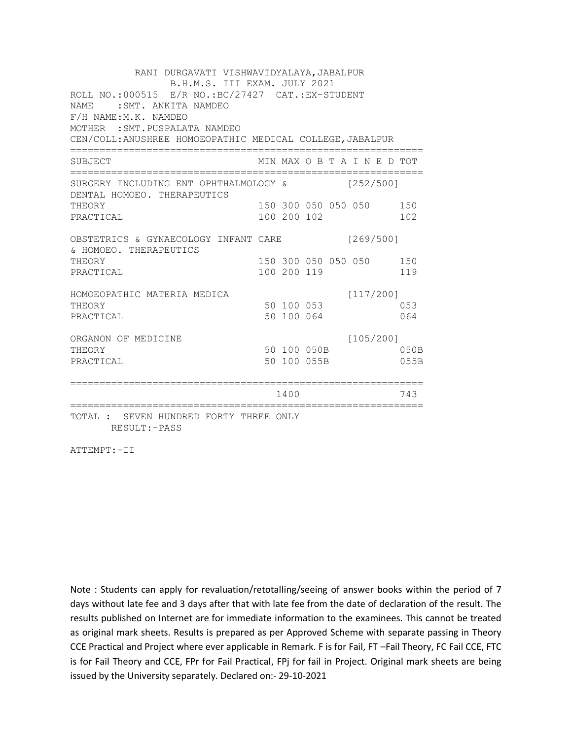RANI DURGAVATI VISHWAVIDYALAYA,JABALPUR B.H.M.S. III EXAM. JULY 2021 ROLL NO.:000515 E/R NO.:BC/27427 CAT.:EX-STUDENT NAME : SMT. ANKITA NAMDEO F/H NAME:M.K. NAMDEO MOTHER :SMT.PUSPALATA NAMDEO CEN/COLL:ANUSHREE HOMOEOPATHIC MEDICAL COLLEGE,JABALPUR ============================================================ SUBJECT MIN MAX O B T A I N E D TOT ============================================================ SURGERY INCLUDING ENT OPHTHALMOLOGY & [252/500] DENTAL HOMOEO. THERAPEUTICS THEORY 150 300 050 050 050 150 PRACTICAL 100 200 102 102 OBSTETRICS & GYNAECOLOGY INFANT CARE [269/500] & HOMOEO. THERAPEUTICS THEORY 150 300 050 050 050 150 PRACTICAL 100 200 119 119 HOMOEOPATHIC MATERIA MEDICA [117/200] HOMOBOPATHIC MATERIAL MEDICAL 50 100 053 PRACTICAL 50 100 064 064 ORGANON OF MEDICINE [105/200] THEORY 50 100 050B 050B PRACTICAL 50 100 055B 055B ============================================================ 1400 743 ============================================================ TOTAL : SEVEN HUNDRED FORTY THREE ONLY RESULT:-PASS

ATTEMPT:-II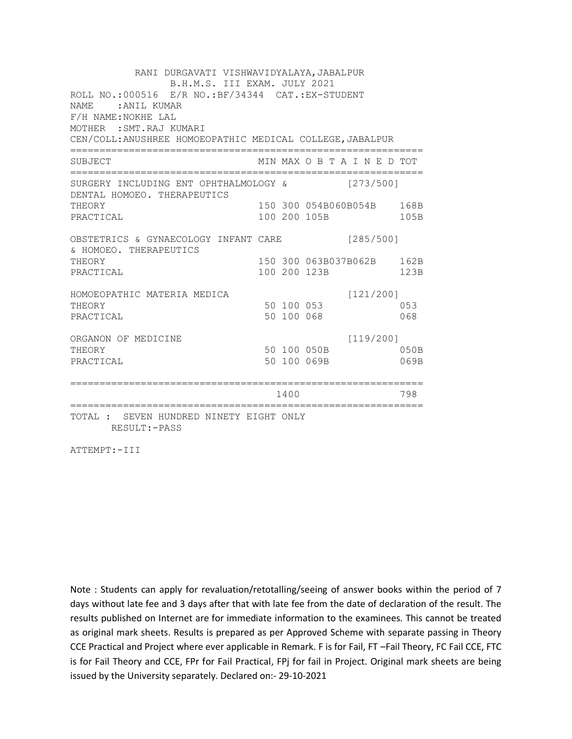RANI DURGAVATI VISHWAVIDYALAYA,JABALPUR B.H.M.S. III EXAM. JULY 2021 ROLL NO.:000516 E/R NO.:BF/34344 CAT.:EX-STUDENT NAME :ANIL KUMAR F/H NAME:NOKHE LAL MOTHER :SMT.RAJ KUMARI CEN/COLL:ANUSHREE HOMOEOPATHIC MEDICAL COLLEGE,JABALPUR ============================================================ SUBJECT MIN MAX O B T A I N E D TOT ============================================================ SURGERY INCLUDING ENT OPHTHALMOLOGY & [273/500] DENTAL HOMOEO. THERAPEUTICS THEORY 150 300 054B060B054B 168B PRACTICAL 100 200 105B 105B OBSTETRICS & GYNAECOLOGY INFANT CARE [285/500] & HOMOEO. THERAPEUTICS THEORY 150 300 063B037B062B 162B PRACTICAL 100 200 123B 123B HOMOEOPATHIC MATERIA MEDICA [121/200] HOMOBOPATHIC MATERIAL MEDICAL 50 100 053 PRACTICAL 50 100 068 068 ORGANON OF MEDICINE [119/200] THEORY 50 100 050B 050B PRACTICAL 50 100 069B 069B ============================================================ 1400 798 ============================================================ TOTAL : SEVEN HUNDRED NINETY EIGHT ONLY RESULT:-PASS

ATTEMPT:-III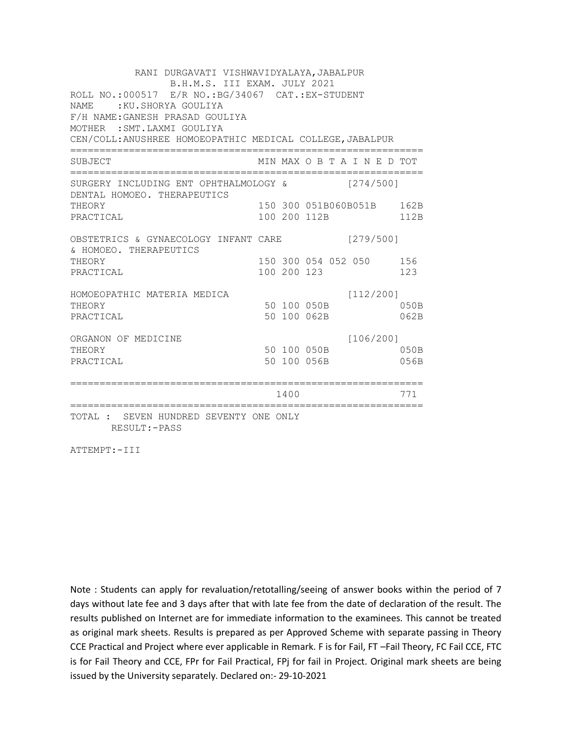RANI DURGAVATI VISHWAVIDYALAYA,JABALPUR B.H.M.S. III EXAM. JULY 2021 ROLL NO.:000517 E/R NO.:BG/34067 CAT.:EX-STUDENT NAME : KU.SHORYA GOULIYA F/H NAME:GANESH PRASAD GOULIYA MOTHER :SMT.LAXMI GOULIYA CEN/COLL:ANUSHREE HOMOEOPATHIC MEDICAL COLLEGE,JABALPUR ============================================================ SUBJECT MIN MAX O B T A I N E D TOT ============================================================ SURGERY INCLUDING ENT OPHTHALMOLOGY & [274/500] DENTAL HOMOEO. THERAPEUTICS THEORY 150 300 051B060B051B 162B PRACTICAL 100 200 112B 112B OBSTETRICS & GYNAECOLOGY INFANT CARE [279/500] & HOMOEO. THERAPEUTICS THEORY 150 300 054 052 050 156 PRACTICAL 100 200 123 123 HOMOEOPATHIC MATERIA MEDICA [112/200] HOPOLOGY<br>THEORY 50 100 050B 050B PRACTICAL 50 100 062B 062B ORGANON OF MEDICINE [106/200] THEORY 50 100 050B 050B PRACTICAL 50 100 056B 056B ============================================================ 1400 771 ============================================================ TOTAL : SEVEN HUNDRED SEVENTY ONE ONLY RESULT:-PASS

ATTEMPT:-III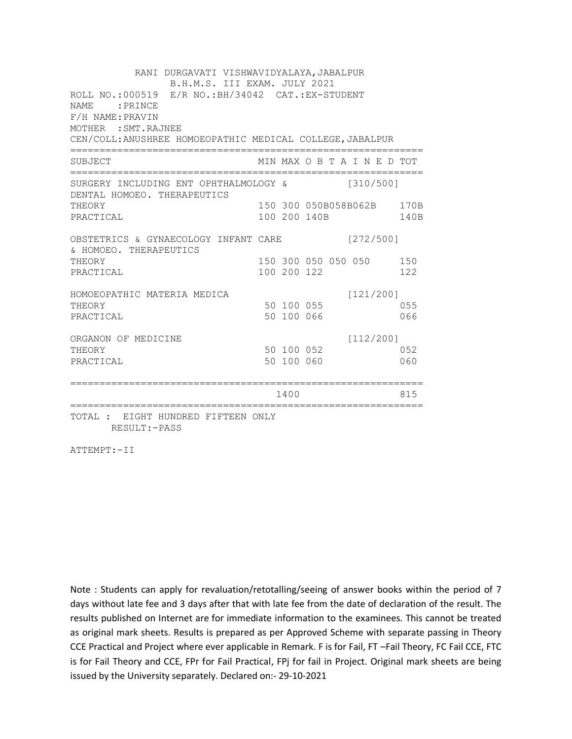RANI DURGAVATI VISHWAVIDYALAYA, JABALPUR B.H.M.S. III EXAM. JULY 2021 ROLL NO.:000519 E/R NO.:BH/34042 CAT.:EX-STUDENT NAME : PRINCE F/H NAME:PRAVIN MOTHER :SMT.RAJNEE CEN/COLL:ANUSHREE HOMOEOPATHIC MEDICAL COLLEGE,JABALPUR ============================================================ SUBJECT MIN MAX O B T A I N E D TOT ============================================================ SURGERY INCLUDING ENT OPHTHALMOLOGY & [310/500] DENTAL HOMOEO. THERAPEUTICS THEORY 150 300 050B058B062B 170B PRACTICAL 100 200 140B 140B OBSTETRICS & GYNAECOLOGY INFANT CARE [272/500] & HOMOEO. THERAPEUTICS THEORY 150 300 050 050 050 150 PRACTICAL 100 200 122 122 HOMOEOPATHIC MATERIA MEDICA [121/200] THEORY 50 100 055 (1995) PRACTICAL 50 100 066 066 ORGANON OF MEDICINE [112/200] THEORY 50 100 052 052 PRACTICAL 50 100 060 060 ============================================================ 1400 815 ============================================================ TOTAL : EIGHT HUNDRED FIFTEEN ONLY

ATTEMPT:-II

RESULT:-PASS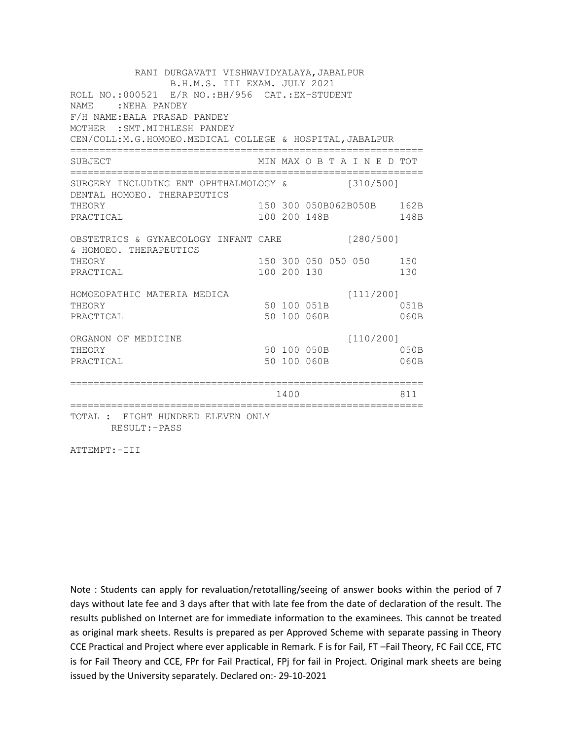RANI DURGAVATI VISHWAVIDYALAYA, JABALPUR B.H.M.S. III EXAM. JULY 2021 ROLL NO.:000521 E/R NO.:BH/956 CAT.:EX-STUDENT NAME : NEHA PANDEY F/H NAME:BALA PRASAD PANDEY MOTHER :SMT.MITHLESH PANDEY CEN/COLL:M.G.HOMOEO.MEDICAL COLLEGE & HOSPITAL,JABALPUR ============================================================ SUBJECT MIN MAX O B T A I N E D TOT ============================================================ SURGERY INCLUDING ENT OPHTHALMOLOGY & [310/500] DENTAL HOMOEO. THERAPEUTICS THEORY 150 300 050B062B050B 162B PRACTICAL 100 200 148B 148B OBSTETRICS & GYNAECOLOGY INFANT CARE [280/500] & HOMOEO. THERAPEUTICS THEORY 150 300 050 050 050 150 PRACTICAL 100 200 130 130 HOMOEOPATHIC MATERIA MEDICA  $[111/200]$ HOMOEOFAINING PRINTING PROFILERS AND THEORY 50 100 051B PRACTICAL 50 100 060B 060B ORGANON OF MEDICINE [110/200] THEORY 50 100 050B 050B PRACTICAL 50 100 060B 060B ============================================================ 1400 811 ============================================================ TOTAL : EIGHT HUNDRED ELEVEN ONLY

RESULT:-PASS

ATTEMPT:-III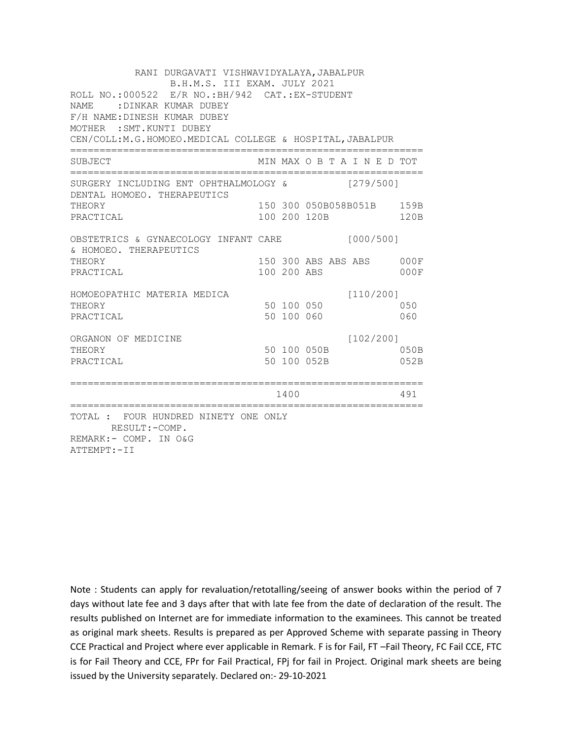RANI DURGAVATI VISHWAVIDYALAYA, JABALPUR B.H.M.S. III EXAM. JULY 2021 ROLL NO.:000522 E/R NO.:BH/942 CAT.:EX-STUDENT NAME :DINKAR KUMAR DUBEY F/H NAME:DINESH KUMAR DUBEY MOTHER :SMT.KUNTI DUBEY CEN/COLL:M.G.HOMOEO.MEDICAL COLLEGE & HOSPITAL,JABALPUR ============================================================ SUBJECT MIN MAX O B T A I N E D TOT ============================================================ SURGERY INCLUDING ENT OPHTHALMOLOGY & [279/500] DENTAL HOMOEO. THERAPEUTICS THEORY 150 300 050B058B051B 159B PRACTICAL 100 200 120B 120B OBSTETRICS & GYNAECOLOGY INFANT CARE [000/500] & HOMOEO. THERAPEUTICS THEORY 150 300 ABS ABS ABS 000F PRACTICAL 100 200 ABS 000F HOMOEOPATHIC MATERIA MEDICA [110/200] THEORY 50 100 050 PRACTICAL 50 100 060 060 ORGANON OF MEDICINE [102/200] THEORY 50 100 050B 050B PRACTICAL 50 100 052B 052B ============================================================ 1400 491 ============================================================ TOTAL : FOUR HUNDRED NINETY ONE ONLY RESULT:-COMP. REMARK:- COMP. IN O&G ATTEMPT:-II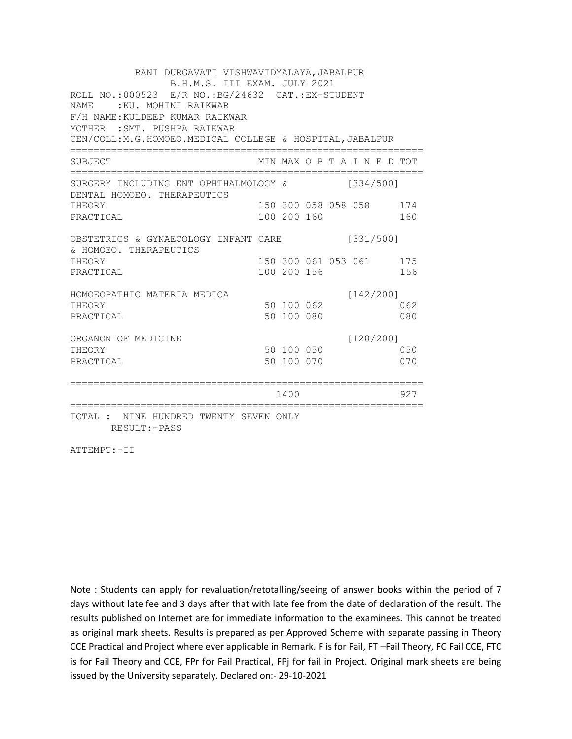| RANI DURGAVATI VISHWAVIDYALAYA, JABALPUR<br>B.H.M.S. III EXAM. JULY 2021<br>ROLL NO.: 000523 E/R NO.: BG/24632 CAT.: EX-STUDENT<br>NAME: KU. MOHINI RAIKWAR<br>F/H NAME: KULDEEP KUMAR RAIKWAR<br>MOTHER : SMT. PUSHPA RAIKWAR<br>CEN/COLL:M.G.HOMOEO.MEDICAL COLLEGE & HOSPITAL, JABALPUR |  |                                        |           |  |           |  |            |
|--------------------------------------------------------------------------------------------------------------------------------------------------------------------------------------------------------------------------------------------------------------------------------------------|--|----------------------------------------|-----------|--|-----------|--|------------|
| SUBJECT                                                                                                                                                                                                                                                                                    |  | MIN MAX O B T A I N E D TOT            |           |  |           |  |            |
| SURGERY INCLUDING ENT OPHTHALMOLOGY &<br>DENTAL HOMOEO. THERAPEUTICS                                                                                                                                                                                                                       |  |                                        | [334/500] |  |           |  |            |
| THEORY<br>PRACTICAL                                                                                                                                                                                                                                                                        |  | 150 300 058 058 058 174<br>100 200 160 |           |  |           |  | 160        |
| OBSTETRICS & GYNAECOLOGY INFANT CARE<br>& HOMOEO. THERAPEUTICS                                                                                                                                                                                                                             |  |                                        | [331/500] |  |           |  |            |
| THEORY<br>PRACTICAL                                                                                                                                                                                                                                                                        |  | 150 300 061 053 061 175<br>100 200 156 |           |  |           |  | 156        |
| HOMOEOPATHIC MATERIA MEDICA<br>THEORY                                                                                                                                                                                                                                                      |  | 50 100 062                             |           |  | [142/200] |  | 062        |
| PRACTICAL                                                                                                                                                                                                                                                                                  |  | 50 100 080                             |           |  |           |  | 080        |
| ORGANON OF MEDICINE<br>THEORY<br>PRACTICAL                                                                                                                                                                                                                                                 |  | 50 100 050<br>50 100 070               |           |  | [120/200] |  | 050<br>070 |
|                                                                                                                                                                                                                                                                                            |  | 1400                                   |           |  |           |  | 927        |
| TOTAL : NINE HUNDRED TWENTY SEVEN ONLY<br>RESULT: - PASS                                                                                                                                                                                                                                   |  |                                        |           |  |           |  |            |

ATTEMPT:-II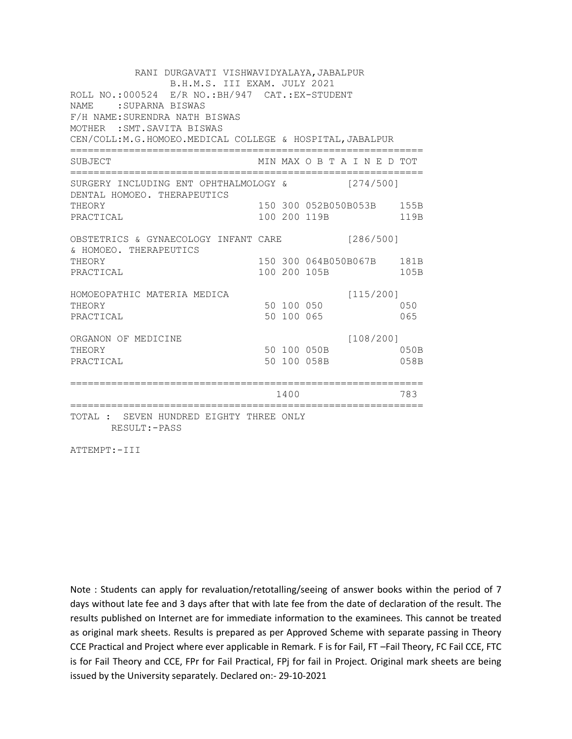RANI DURGAVATI VISHWAVIDYALAYA, JABALPUR B.H.M.S. III EXAM. JULY 2021 ROLL NO.:000524 E/R NO.:BH/947 CAT.:EX-STUDENT NAME : SUPARNA BISWAS F/H NAME:SURENDRA NATH BISWAS MOTHER :SMT.SAVITA BISWAS CEN/COLL:M.G.HOMOEO.MEDICAL COLLEGE & HOSPITAL,JABALPUR ============================================================ SUBJECT MIN MAX O B T A I N E D TOT ============================================================ SURGERY INCLUDING ENT OPHTHALMOLOGY & [274/500] DENTAL HOMOEO. THERAPEUTICS THEORY 150 300 052B050B053B 155B PRACTICAL 100 200 119B 119B OBSTETRICS & GYNAECOLOGY INFANT CARE [286/500] & HOMOEO. THERAPEUTICS THEORY 150 300 064B050B067B 181B PRACTICAL 100 200 105B 105B HOMOEOPATHIC MATERIA MEDICA [115/200] THEORY 50 100 050 PRACTICAL 50 100 065 065 ORGANON OF MEDICINE [108/200] THEORY 50 100 050B 050B PRACTICAL 50 100 058B 058B ============================================================ 1400 783 ============================================================ TOTAL : SEVEN HUNDRED EIGHTY THREE ONLY RESULT:-PASS

ATTEMPT:-III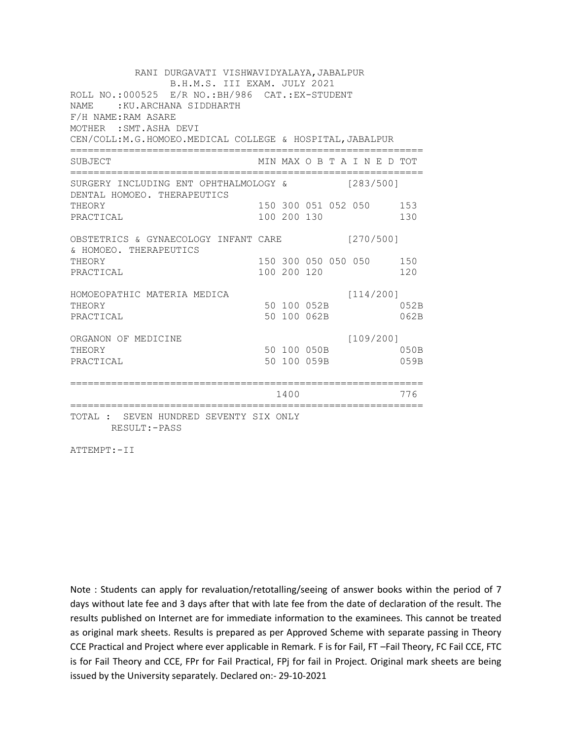RANI DURGAVATI VISHWAVIDYALAYA, JABALPUR B.H.M.S. III EXAM. JULY 2021 ROLL NO.:000525 E/R NO.:BH/986 CAT.:EX-STUDENT NAME : KU.ARCHANA SIDDHARTH F/H NAME:RAM ASARE MOTHER :SMT.ASHA DEVI CEN/COLL:M.G.HOMOEO.MEDICAL COLLEGE & HOSPITAL,JABALPUR ============================================================ SUBJECT MIN MAX O B T A I N E D TOT ============================================================ SURGERY INCLUDING ENT OPHTHALMOLOGY & [283/500] DENTAL HOMOEO. THERAPEUTICS THEORY 150 300 051 052 050 153 PRACTICAL 100 200 130 130 OBSTETRICS & GYNAECOLOGY INFANT CARE [270/500] & HOMOEO. THERAPEUTICS THEORY 150 300 050 050 050 150 PRACTICAL 100 200 120 120 HOMOEOPATHIC MATERIA MEDICA [114/200] HOPOLOGY<br>THEORY 50 100 052B 052B PRACTICAL 50 100 062B 062B ORGANON OF MEDICINE [109/200] THEORY 50 100 050B 050B PRACTICAL 50 100 059B 059B ============================================================ 1400 776 ============================================================ TOTAL : SEVEN HUNDRED SEVENTY SIX ONLY RESULT:-PASS

ATTEMPT:-II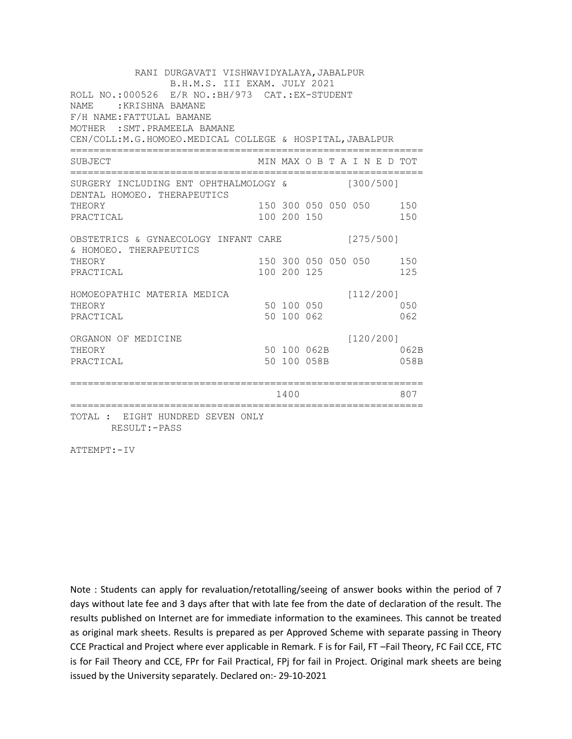RANI DURGAVATI VISHWAVIDYALAYA, JABALPUR B.H.M.S. III EXAM. JULY 2021 ROLL NO.:000526 E/R NO.:BH/973 CAT.:EX-STUDENT NAME : KRISHNA BAMANE F/H NAME:FATTULAL BAMANE MOTHER :SMT.PRAMEELA BAMANE CEN/COLL:M.G.HOMOEO.MEDICAL COLLEGE & HOSPITAL,JABALPUR ============================================================ SUBJECT MIN MAX O B T A I N E D TOT ============================================================ SURGERY INCLUDING ENT OPHTHALMOLOGY & [300/500] DENTAL HOMOEO. THERAPEUTICS THEORY 150 300 050 050 050 150 PRACTICAL 100 200 150 150 OBSTETRICS & GYNAECOLOGY INFANT CARE [275/500] & HOMOEO. THERAPEUTICS THEORY 150 300 050 050 050 150 PRACTICAL 100 200 125 125 HOMOEOPATHIC MATERIA MEDICA [112/200] HONOLOPATHIC MATERIAL MEDICAL 50 100 050 PRACTICAL 50 100 062 062 ORGANON OF MEDICINE [120/200] THEORY 50 100 062B 062B PRACTICAL 50 100 058B 058B ============================================================ 1400 807 ============================================================ TOTAL : EIGHT HUNDRED SEVEN ONLY

RESULT:-PASS

ATTEMPT:-IV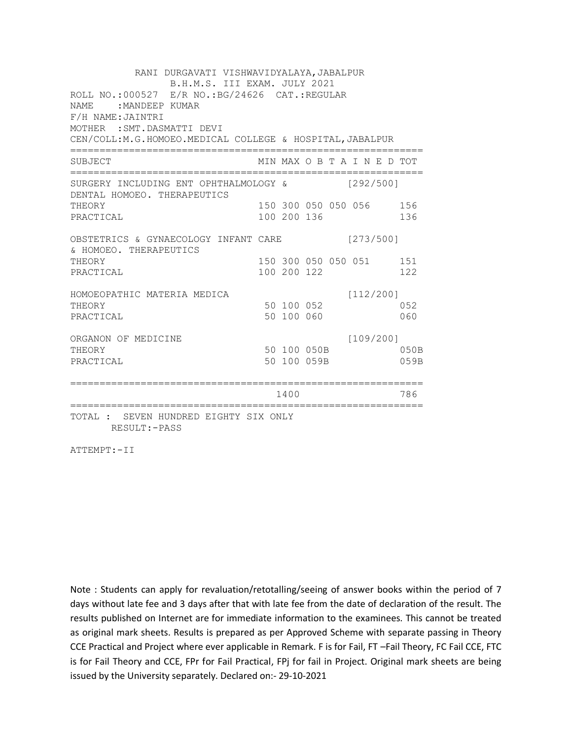RANI DURGAVATI VISHWAVIDYALAYA, JABALPUR B.H.M.S. III EXAM. JULY 2021 ROLL NO.:000527 E/R NO.:BG/24626 CAT.:REGULAR NAME : MANDEEP KUMAR F/H NAME:JAINTRI MOTHER :SMT.DASMATTI DEVI CEN/COLL:M.G.HOMOEO.MEDICAL COLLEGE & HOSPITAL,JABALPUR ============================================================ SUBJECT MIN MAX O B T A I N E D TOT ============================================================ SURGERY INCLUDING ENT OPHTHALMOLOGY & [292/500] DENTAL HOMOEO. THERAPEUTICS THEORY 150 300 050 050 056 156 PRACTICAL 100 200 136 136 OBSTETRICS & GYNAECOLOGY INFANT CARE [273/500] & HOMOEO. THERAPEUTICS THEORY 150 300 050 050 051 151 PRACTICAL 100 200 122 122 HOMOEOPATHIC MATERIA MEDICA [112/200] THEORY 50 100 052 052 PRACTICAL 50 100 060 060 ORGANON OF MEDICINE [109/200] THEORY 50 100 050B 050B PRACTICAL 50 100 059B 059B ============================================================ 1400 786 ============================================================ TOTAL : SEVEN HUNDRED EIGHTY SIX ONLY RESULT:-PASS

ATTEMPT:-II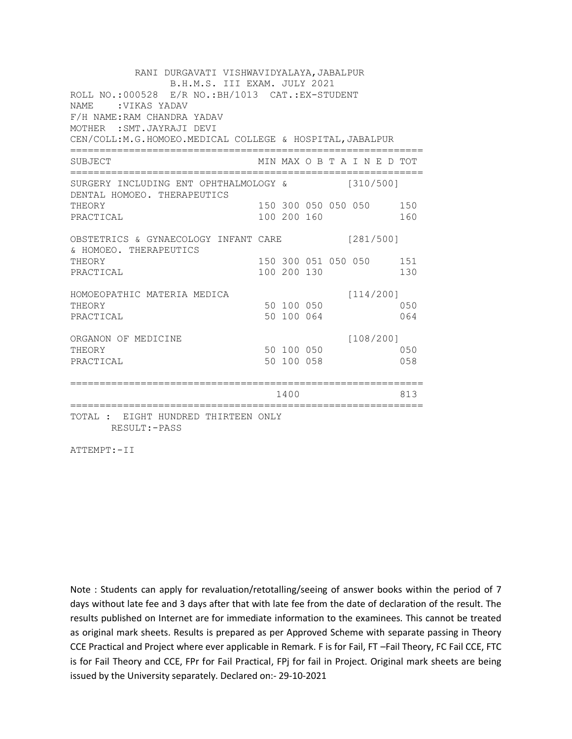RANI DURGAVATI VISHWAVIDYALAYA, JABALPUR B.H.M.S. III EXAM. JULY 2021 ROLL NO.:000528 E/R NO.:BH/1013 CAT.:EX-STUDENT NAME :VIKAS YADAV F/H NAME:RAM CHANDRA YADAV MOTHER :SMT.JAYRAJI DEVI CEN/COLL:M.G.HOMOEO.MEDICAL COLLEGE & HOSPITAL,JABALPUR ============================================================ SUBJECT MIN MAX O B T A I N E D TOT ============================================================ SURGERY INCLUDING ENT OPHTHALMOLOGY & [310/500] DENTAL HOMOEO. THERAPEUTICS THEORY 150 300 050 050 050 150 PRACTICAL 100 200 160 160 OBSTETRICS & GYNAECOLOGY INFANT CARE [281/500] & HOMOEO. THERAPEUTICS THEORY 150 300 051 050 050 151 PRACTICAL 100 200 130 130 HOMOEOPATHIC MATERIA MEDICA [114/200] THEORY 50 100 050 PRACTICAL 50 100 064 064 ORGANON OF MEDICINE [108/200] THEORY 50 100 050 050 PRACTICAL 50 100 058 058 ============================================================ 1400 813 ============================================================ TOTAL : EIGHT HUNDRED THIRTEEN ONLY RESULT:-PASS

ATTEMPT:-II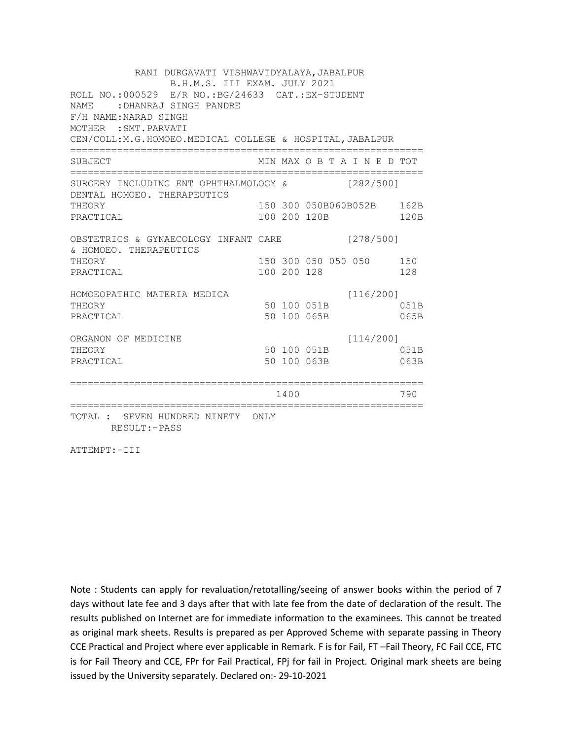RANI DURGAVATI VISHWAVIDYALAYA, JABALPUR B.H.M.S. III EXAM. JULY 2021 ROLL NO.:000529 E/R NO.:BG/24633 CAT.:EX-STUDENT NAME :DHANRAJ SINGH PANDRE F/H NAME:NARAD SINGH MOTHER :SMT.PARVATI CEN/COLL:M.G.HOMOEO.MEDICAL COLLEGE & HOSPITAL,JABALPUR ============================================================ SUBJECT MIN MAX O B T A I N E D TOT ============================================================ SURGERY INCLUDING ENT OPHTHALMOLOGY & [282/500] DENTAL HOMOEO. THERAPEUTICS THEORY 150 300 050B060B052B 162B PRACTICAL 100 200 120B 120B OBSTETRICS & GYNAECOLOGY INFANT CARE [278/500] & HOMOEO. THERAPEUTICS THEORY 150 300 050 050 050 150 PRACTICAL 100 200 128 128 HOMOEOPATHIC MATERIA MEDICA [116/200] HOMOEOFAINING PRINTING PROMOTER SUPERING SUPERING SUPERING SUPERING SUPERING SALES AND RESPONDENTLY OF A SALES PRACTICAL 50 100 065B 065B ORGANON OF MEDICINE [114/200] THEORY 50 100 051B 051B PRACTICAL 50 100 063B 063B ============================================================ 1400 790 ============================================================ TOTAL : SEVEN HUNDRED NINETY ONLY RESULT:-PASS

ATTEMPT:-III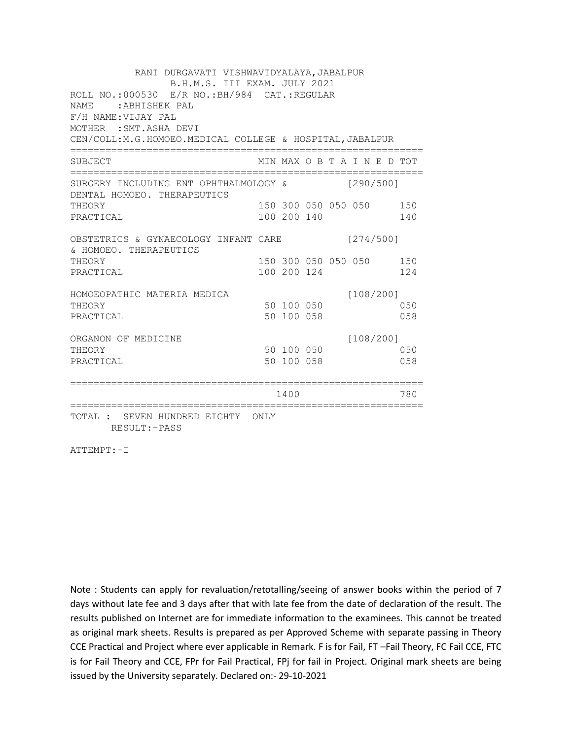RANI DURGAVATI VISHWAVIDYALAYA, JABALPUR B.H.M.S. III EXAM. JULY 2021 ROLL NO.:000530 E/R NO.:BH/984 CAT.:REGULAR NAME :ABHISHEK PAL F/H NAME:VIJAY PAL MOTHER :SMT.ASHA DEVI CEN/COLL:M.G.HOMOEO.MEDICAL COLLEGE & HOSPITAL,JABALPUR ============================================================ SUBJECT MIN MAX O B T A I N E D TOT ============================================================ SURGERY INCLUDING ENT OPHTHALMOLOGY & [290/500] DENTAL HOMOEO. THERAPEUTICS THEORY 150 300 050 050 150 PRACTICAL 100 200 140 140 OBSTETRICS & GYNAECOLOGY INFANT CARE [274/500] & HOMOEO. THERAPEUTICS THEORY 150 300 050 050 050 150 PRACTICAL 100 200 124 124 HOMOEOPATHIC MATERIA MEDICA [108/200] THEORY 50 100 050 PRACTICAL 50 100 058 058 ORGANON OF MEDICINE [108/200] THEORY 50 100 050 050 PRACTICAL 50 100 058 058 ============================================================ 1400 780 ============================================================ TOTAL : SEVEN HUNDRED EIGHTY ONLY RESULT:-PASS

ATTEMPT:-I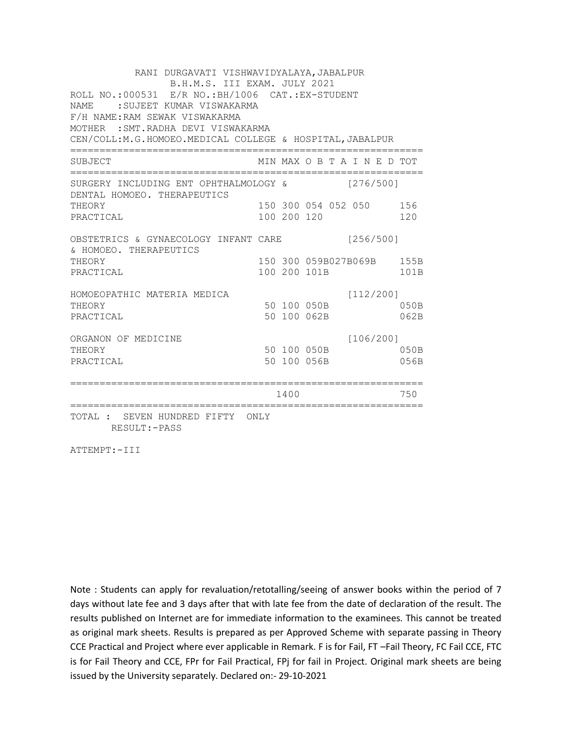RANI DURGAVATI VISHWAVIDYALAYA, JABALPUR B.H.M.S. III EXAM. JULY 2021 ROLL NO.:000531 E/R NO.:BH/1006 CAT.:EX-STUDENT NAME :SUJEET KUMAR VISWAKARMA F/H NAME:RAM SEWAK VISWAKARMA MOTHER :SMT.RADHA DEVI VISWAKARMA CEN/COLL:M.G.HOMOEO.MEDICAL COLLEGE & HOSPITAL,JABALPUR ============================================================ SUBJECT MIN MAX O B T A I N E D TOT ============================================================ SURGERY INCLUDING ENT OPHTHALMOLOGY & [276/500] DENTAL HOMOEO. THERAPEUTICS THEORY 150 300 054 052 050 156 PRACTICAL 100 200 120 120 120 OBSTETRICS & GYNAECOLOGY INFANT CARE [256/500] & HOMOEO. THERAPEUTICS THEORY 150 150 300 059B027B069B 155B PRACTICAL 100 200 101B 101B HOMOEOPATHIC MATERIA MEDICA [112/200] HOPOLOGY<br>THEORY 50 100 050B 050B 050B PRACTICAL 50 100 062B 062B ORGANON OF MEDICINE [106/200] THEORY 50 100 050B 050B PRACTICAL 50 100 056B 056B ============================================================ 1400 750 ============================================================ TOTAL : SEVEN HUNDRED FIFTY ONLY RESULT:-PASS

ATTEMPT:-III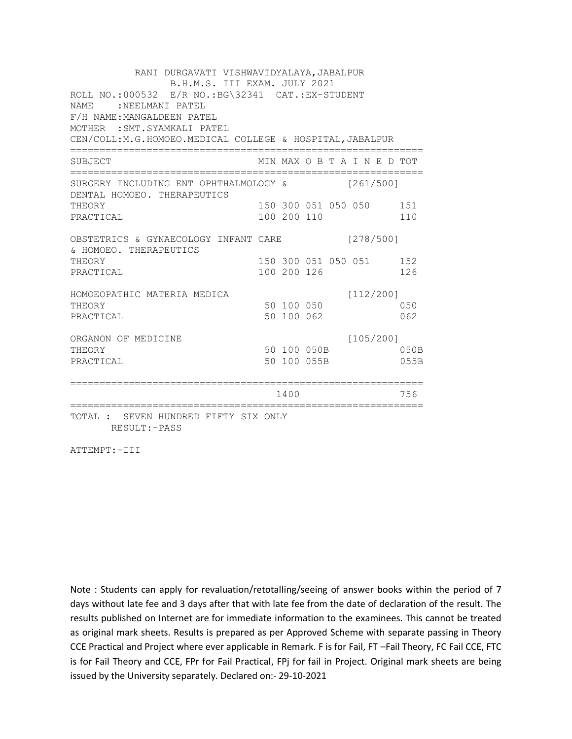RANI DURGAVATI VISHWAVIDYALAYA, JABALPUR B.H.M.S. III EXAM. JULY 2021 ROLL NO.:000532 E/R NO.:BG\32341 CAT.:EX-STUDENT NAME : NEELMANI PATEL F/H NAME:MANGALDEEN PATEL MOTHER :SMT.SYAMKALI PATEL CEN/COLL:M.G.HOMOEO.MEDICAL COLLEGE & HOSPITAL,JABALPUR ============================================================ SUBJECT MIN MAX O B T A I N E D TOT ============================================================ SURGERY INCLUDING ENT OPHTHALMOLOGY & [261/500] DENTAL HOMOEO. THERAPEUTICS THEORY 150 300 051 050 050 151 PRACTICAL 100 200 110 110 OBSTETRICS & GYNAECOLOGY INFANT CARE [278/500] & HOMOEO. THERAPEUTICS THEORY 150 300 051 050 051 152 PRACTICAL 100 200 126 126 HOMOEOPATHIC MATERIA MEDICA [112/200] HOMOBOPATHIC MATERIAL MEDICAL SO 100 050 PRACTICAL 50 100 062 062 ORGANON OF MEDICINE [105/200] THEORY 50 100 050B 050B PRACTICAL 50 100 055B 055B ============================================================ 1400 756 ============================================================ TOTAL : SEVEN HUNDRED FIFTY SIX ONLY RESULT:-PASS

ATTEMPT:-III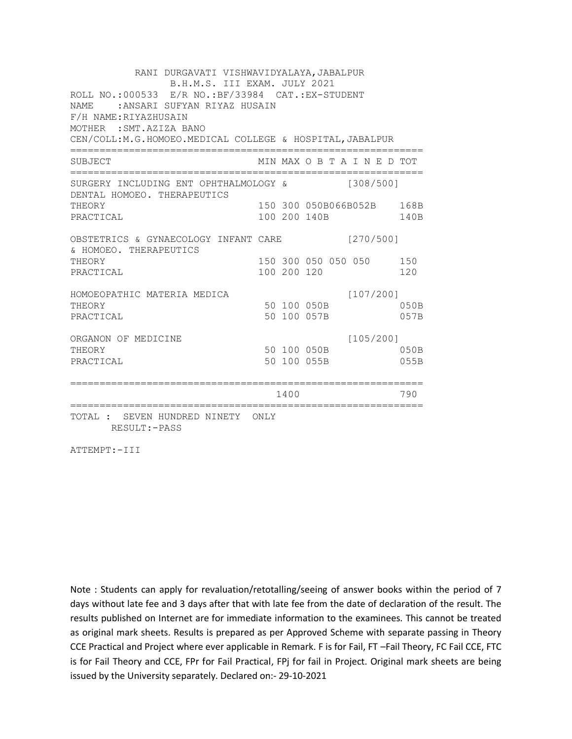RANI DURGAVATI VISHWAVIDYALAYA, JABALPUR B.H.M.S. III EXAM. JULY 2021 ROLL NO.:000533 E/R NO.:BF/33984 CAT.:EX-STUDENT NAME :ANSARI SUFYAN RIYAZ HUSAIN F/H NAME:RIYAZHUSAIN MOTHER :SMT.AZIZA BANO CEN/COLL:M.G.HOMOEO.MEDICAL COLLEGE & HOSPITAL,JABALPUR ============================================================ SUBJECT MIN MAX O B T A I N E D TOT ============================================================ SURGERY INCLUDING ENT OPHTHALMOLOGY & [308/500] DENTAL HOMOEO. THERAPEUTICS THEORY 150 300 050B066B052B 168B PRACTICAL 100 200 140B 140B OBSTETRICS & GYNAECOLOGY INFANT CARE [270/500] & HOMOEO. THERAPEUTICS THEORY 150 300 050 050 050 150 PRACTICAL 100 200 120 120 HOMOEOPATHIC MATERIA MEDICA [107/200] HOPOLOGY<br>THEORY 50 100 050B 050B PRACTICAL 50 100 057B 057B ORGANON OF MEDICINE [105/200] THEORY THEORY 50 100 050B PRACTICAL 50 100 055B 055B ============================================================ 1400 790 ============================================================ TOTAL : SEVEN HUNDRED NINETY ONLY RESULT:-PASS

ATTEMPT:-III